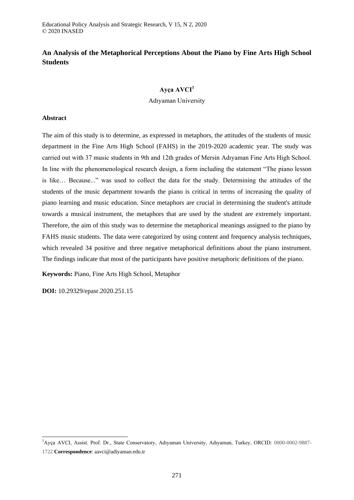## **An Analysis of the Metaphorical Perceptions About the Piano by Fine Arts High School Students**

## **Ayça AVCI<sup>1</sup>**

Adıyaman University

## **Abstract**

The aim of this study is to determine, as expressed in metaphors, the attitudes of the students of music department in the Fine Arts High School (FAHS) in the 2019-2020 academic year. The study was carried out with 37 music students in 9th and 12th grades of Mersin Adıyaman Fine Arts High School. In line with the phenomenological research design, a form including the statement "The piano lesson is like… Because..." was used to collect the data for the study. Determining the attitudes of the students of the music department towards the piano is critical in terms of increasing the quality of piano learning and music education. Since metaphors are crucial in determining the student's attitude towards a musical instrument, the metaphors that are used by the student are extremely important. Therefore, the aim of this study was to determine the metaphorical meanings assigned to the piano by FAHS music students. The data were categorized by using content and frequency analysis techniques, which revealed 34 positive and three negative metaphorical definitions about the piano instrument. The findings indicate that most of the participants have positive metaphoric definitions of the piano.

**Keywords:** Piano, Fine Arts High School, Metaphor

**DOI:** 10.29329/epasr.2020.251.15

-

<sup>&</sup>lt;sup>1</sup>Ayça AVCI, Assist. Prof. Dr., State Conservatory, Adıyaman University, Adıyaman, Turkey, ORCID: 0000-0002-9887-1722 **Correspondence**: aavci@adiyaman.edu.tr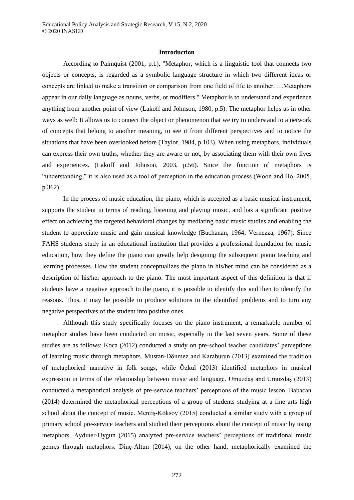## **Introduction**

According to Palmquist (2001, p.1), "Metaphor, which is a linguistic tool that connects two objects or concepts, is regarded as a symbolic language structure in which two different ideas or concepts are linked to make a transition or comparison from one field of life to another. …Metaphors appear in our daily language as nouns, verbs, or modifiers." Metaphor is to understand and experience anything from another point of view (Lakoff and Johnson, 1980, p.5). The metaphor helps us in other ways as well: It allows us to connect the object or phenomenon that we try to understand to a network of concepts that belong to another meaning, to see it from different perspectives and to notice the situations that have been overlooked before (Taylor, 1984, p.103). When using metaphors, individuals can express their own truths, whether they are aware or not, by associating them with their own lives and experiences. (Lakoff and Johnson, 2003, p.56). Since the function of metaphors is "understanding," it is also used as a tool of perception in the education process (Woon and Ho, 2005, p.362).

In the process of music education, the piano, which is accepted as a basic musical instrument, supports the student in terms of reading, listening and playing music, and has a significant positive effect on achieving the targeted behavioral changes by mediating basic music studies and enabling the student to appreciate music and gain musical knowledge (Buchanan, 1964; Vernezza, 1967). Since FAHS students study in an educational institution that provides a professional foundation for music education, how they define the piano can greatly help designing the subsequent piano teaching and learning processes. How the student conceptualizes the piano in his/her mind can be considered as a description of his/her approach to the piano. The most important aspect of this definition is that if students have a negative approach to the piano, it is possible to identify this and then to identify the reasons. Thus, it may be possible to produce solutions to the identified problems and to turn any negative perspectives of the student into positive ones.

Although this study specifically focuses on the piano instrument, a remarkable number of metaphor studies have been conducted on music, especially in the last seven years. Some of these studies are as follows: Koca (2012) conducted a study on pre-school teacher candidates' perceptions of learning music through metaphors. Mustan-Dönmez and Karaburun (2013) examined the tradition of metaphorical narrative in folk songs, while Özkul (2013) identified metaphors in musical expression in terms of the relationship between music and language. Umuzdaş and Umuzdaş (2013) conducted a metaphorical analysis of pre-service teachers' perceptions of the music lesson. Babacan (2014) determined the metaphorical perceptions of a group of students studying at a fine arts high school about the concept of music. Mentiş-Köksoy (2015) conducted a similar study with a group of primary school pre-service teachers and studied their perceptions about the concept of music by using metaphors. Aydıner-Uygun (2015) analyzed pre-service teachers' perceptions of traditional music genres through metaphors. Dinç-Altun (2014), on the other hand, metaphorically examined the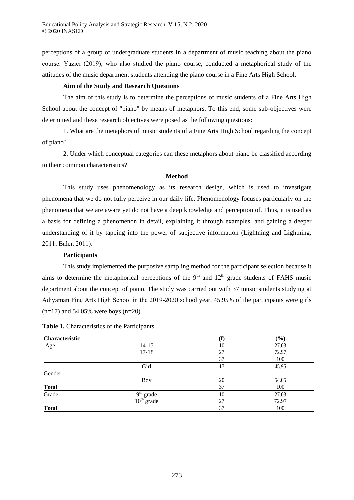perceptions of a group of undergraduate students in a department of music teaching about the piano course. Yazıcı (2019), who also studied the piano course, conducted a metaphorical study of the attitudes of the music department students attending the piano course in a Fine Arts High School.

## **Aim of the Study and Research Questions**

The aim of this study is to determine the perceptions of music students of a Fine Arts High School about the concept of "piano" by means of metaphors. To this end, some sub-objectives were determined and these research objectives were posed as the following questions:

1. What are the metaphors of music students of a Fine Arts High School regarding the concept of piano?

2. Under which conceptual categories can these metaphors about piano be classified according to their common characteristics?

## **Method**

This study uses phenomenology as its research design, which is used to investigate phenomena that we do not fully perceive in our daily life. Phenomenology focuses particularly on the phenomena that we are aware yet do not have a deep knowledge and perception of. Thus, it is used as a basis for defining a phenomenon in detail, explaining it through examples, and gaining a deeper understanding of it by tapping into the power of subjective information (Lightning and Lightning, 2011; Balcı, 2011).

## **Participants**

This study implemented the purposive sampling method for the participant selection because it aims to determine the metaphorical perceptions of the 9<sup>th</sup> and  $12<sup>th</sup>$  grade students of FAHS music department about the concept of piano. The study was carried out with 37 music students studying at Adıyaman Fine Arts High School in the 2019-2020 school year. 45.95% of the participants were girls  $(n=17)$  and 54.05% were boys  $(n=20)$ .

| Characteristic |                                       |    | $(\%)$ |
|----------------|---------------------------------------|----|--------|
| Age            | $14 - 15$                             | 10 | 27.03  |
|                | $17 - 18$                             | 27 | 72.97  |
|                |                                       | 37 | 100    |
|                | Girl                                  | 17 | 45.95  |
| Gender         |                                       |    |        |
|                | <b>Boy</b>                            | 20 | 54.05  |
| <b>Total</b>   |                                       | 37 | 100    |
| Grade          | $9th$ grade<br>10 <sup>th</sup> grade | 10 | 27.03  |
|                |                                       | 27 | 72.97  |
| <b>Total</b>   |                                       | 37 | 100    |

| Table 1. Characteristics of the Participants |  |  |
|----------------------------------------------|--|--|
|----------------------------------------------|--|--|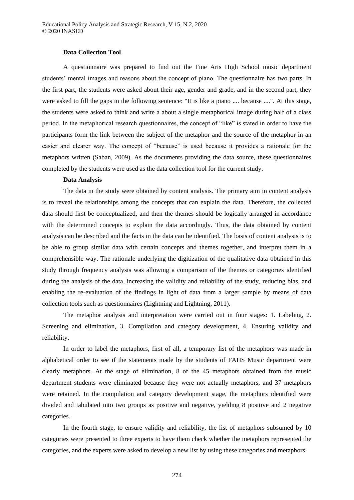#### **Data Collection Tool**

A questionnaire was prepared to find out the Fine Arts High School music department students' mental images and reasons about the concept of piano. The questionnaire has two parts. In the first part, the students were asked about their age, gender and grade, and in the second part, they were asked to fill the gaps in the following sentence: "It is like a piano .... because ....". At this stage, the students were asked to think and write a about a single metaphorical image during half of a class period. In the metaphorical research questionnaires, the concept of "like" is stated in order to have the participants form the link between the subject of the metaphor and the source of the metaphor in an easier and clearer way. The concept of "because" is used because it provides a rationale for the metaphors written (Saban, 2009). As the documents providing the data source, these questionnaires completed by the students were used as the data collection tool for the current study.

## **Data Analysis**

The data in the study were obtained by content analysis. The primary aim in content analysis is to reveal the relationships among the concepts that can explain the data. Therefore, the collected data should first be conceptualized, and then the themes should be logically arranged in accordance with the determined concepts to explain the data accordingly. Thus, the data obtained by content analysis can be described and the facts in the data can be identified. The basis of content analysis is to be able to group similar data with certain concepts and themes together, and interpret them in a comprehensible way. The rationale underlying the digitization of the qualitative data obtained in this study through frequency analysis was allowing a comparison of the themes or categories identified during the analysis of the data, increasing the validity and reliability of the study, reducing bias, and enabling the re-evaluation of the findings in light of data from a larger sample by means of data collection tools such as questionnaires (Lightning and Lightning, 2011).

The metaphor analysis and interpretation were carried out in four stages: 1. Labeling, 2. Screening and elimination, 3. Compilation and category development, 4. Ensuring validity and reliability.

In order to label the metaphors, first of all, a temporary list of the metaphors was made in alphabetical order to see if the statements made by the students of FAHS Music department were clearly metaphors. At the stage of elimination, 8 of the 45 metaphors obtained from the music department students were eliminated because they were not actually metaphors, and 37 metaphors were retained. In the compilation and category development stage, the metaphors identified were divided and tabulated into two groups as positive and negative, yielding 8 positive and 2 negative categories.

In the fourth stage, to ensure validity and reliability, the list of metaphors subsumed by 10 categories were presented to three experts to have them check whether the metaphors represented the categories, and the experts were asked to develop a new list by using these categories and metaphors.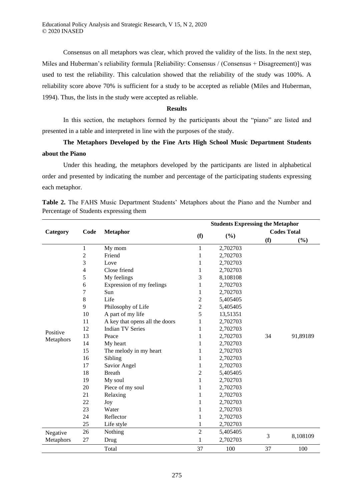Consensus on all metaphors was clear, which proved the validity of the lists. In the next step, Miles and Huberman's reliability formula [Reliability: Consensus / (Consensus + Disagreement)] was used to test the reliability. This calculation showed that the reliability of the study was 100%. A reliability score above 70% is sufficient for a study to be accepted as reliable (Miles and Huberman, 1994). Thus, the lists in the study were accepted as reliable.

## **Results**

In this section, the metaphors formed by the participants about the "piano" are listed and presented in a table and interpreted in line with the purposes of the study.

# **The Metaphors Developed by the Fine Arts High School Music Department Students about the Piano**

Under this heading, the metaphors developed by the participants are listed in alphabetical order and presented by indicating the number and percentage of the participating students expressing each metaphor.

|           |                |                                | <b>Students Expressing the Metaphor</b> |          |                    |          |  |
|-----------|----------------|--------------------------------|-----------------------------------------|----------|--------------------|----------|--|
| Category  | Code           | <b>Metaphor</b>                |                                         |          | <b>Codes Total</b> |          |  |
|           |                |                                | (f)                                     | (%)      | (f)                | (%)      |  |
|           | $\mathbf{1}$   | My mom                         | 1                                       | 2,702703 |                    |          |  |
|           | $\overline{c}$ | Friend                         | 1                                       | 2,702703 |                    |          |  |
|           | 3              | Love                           | 1                                       | 2,702703 |                    |          |  |
|           | $\overline{4}$ | Close friend                   | 1                                       | 2,702703 |                    |          |  |
|           | 5              | My feelings                    | 3                                       | 8,108108 |                    |          |  |
|           | 6              | Expression of my feelings      | 1                                       | 2,702703 |                    |          |  |
|           | 7              | Sun                            | 1                                       | 2,702703 |                    |          |  |
|           | 8              | Life                           | $\overline{c}$                          | 5,405405 |                    |          |  |
|           | 9              | Philosophy of Life             | 2                                       | 5,405405 |                    |          |  |
|           | 10             | A part of my life              | 5                                       | 13,51351 |                    |          |  |
|           | 11             | A key that opens all the doors | 1                                       | 2,702703 |                    |          |  |
| Positive  | 12             | <b>Indian TV Series</b>        | 1                                       | 2,702703 |                    |          |  |
|           | 13             | Peace                          | 1                                       | 2,702703 | 34                 | 91,89189 |  |
| Metaphors | 14             | My heart                       | 1                                       | 2,702703 |                    |          |  |
|           | 15             | The melody in my heart         | 1                                       | 2,702703 |                    |          |  |
|           | 16             | Sibling                        | 1                                       | 2,702703 |                    |          |  |
|           | 17             | Savior Angel                   | 1                                       | 2,702703 |                    |          |  |
|           | 18             | <b>Breath</b>                  | 2                                       | 5,405405 |                    |          |  |
|           | 19             | My soul                        | 1                                       | 2,702703 |                    |          |  |
|           | 20             | Piece of my soul               | 1                                       | 2,702703 |                    |          |  |
|           | 21             | Relaxing                       | 1                                       | 2,702703 |                    |          |  |
|           | 22             | Joy                            | 1                                       | 2,702703 |                    |          |  |
|           | 23             | Water                          | 1                                       | 2,702703 |                    |          |  |
|           | 24             | Reflector                      | 1                                       | 2,702703 |                    |          |  |
|           | 25             | Life style                     | 1                                       | 2,702703 |                    |          |  |
| Negative  | 26             | Nothing                        | $\overline{2}$                          | 5,405405 |                    |          |  |
| Metaphors | 27             | Drug                           | $\mathbf{1}$                            | 2,702703 | 3                  | 8,108109 |  |
|           |                | Total                          | 37                                      | 100      | 37                 | 100      |  |

**Table 2.** The FAHS Music Department Students' Metaphors about the Piano and the Number and Percentage of Students expressing them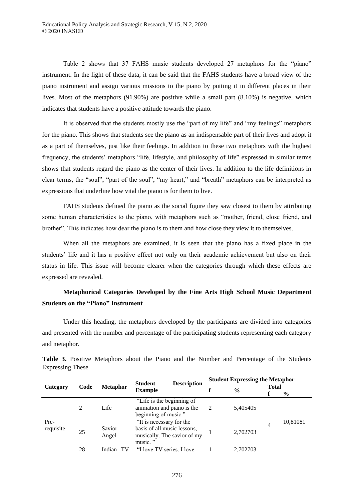Table 2 shows that 37 FAHS music students developed 27 metaphors for the "piano" instrument. In the light of these data, it can be said that the FAHS students have a broad view of the piano instrument and assign various missions to the piano by putting it in different places in their lives. Most of the metaphors (91.90%) are positive while a small part (8.10%) is negative, which indicates that students have a positive attitude towards the piano.

It is observed that the students mostly use the "part of my life" and "my feelings" metaphors for the piano. This shows that students see the piano as an indispensable part of their lives and adopt it as a part of themselves, just like their feelings. In addition to these two metaphors with the highest frequency, the students' metaphors "life, lifestyle, and philosophy of life" expressed in similar terms shows that students regard the piano as the center of their lives. In addition to the life definitions in clear terms, the "soul", "part of the soul", "my heart," and "breath" metaphors can be interpreted as expressions that underline how vital the piano is for them to live.

FAHS students defined the piano as the social figure they saw closest to them by attributing some human characteristics to the piano, with metaphors such as "mother, friend, close friend, and brother". This indicates how dear the piano is to them and how close they view it to themselves.

When all the metaphors are examined, it is seen that the piano has a fixed place in the students' life and it has a positive effect not only on their academic achievement but also on their status in life. This issue will become clearer when the categories through which these effects are expressed are revealed.

# **Metaphorical Categories Developed by the Fine Arts High School Music Department Students on the "Piano" Instrument**

Under this heading, the metaphors developed by the participants are divided into categories and presented with the number and percentage of the participating students representing each category and metaphor.

| Category  | Code | <b>Metaphor</b> | <b>Description</b><br><b>Student</b><br><b>Example</b> |   | <b>Student Expressing the Metaphor</b> |              |          |  |
|-----------|------|-----------------|--------------------------------------------------------|---|----------------------------------------|--------------|----------|--|
|           |      |                 |                                                        | f |                                        | <b>Total</b> |          |  |
|           |      |                 |                                                        |   | $\frac{6}{9}$                          |              | $\%$     |  |
|           |      |                 | "Life is the beginning of                              |   |                                        |              |          |  |
|           | 2    | Life            | animation and piano is the                             | 2 | 5,405405                               |              |          |  |
|           |      |                 | beginning of music."                                   |   |                                        |              |          |  |
| Pre-      |      |                 | "It is necessary for the                               |   |                                        | 4            | 10,81081 |  |
| requisite | 25   | Savior          | basis of all music lessons,                            |   | 2,702703                               |              |          |  |
|           |      | Angel           | musically. The savior of my                            |   |                                        |              |          |  |
|           |      |                 | music."                                                |   |                                        |              |          |  |
|           | 28   | Indian          | "I love TV series. I love                              |   | 2.702703                               |              |          |  |

**Table 3.** Positive Metaphors about the Piano and the Number and Percentage of the Students Expressing These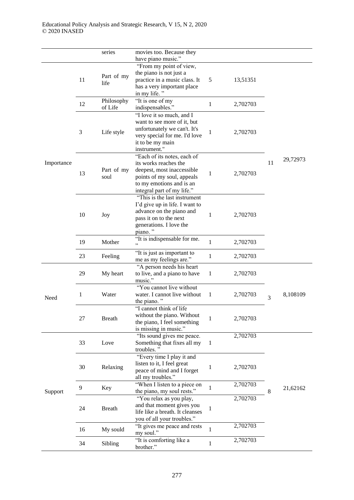|            |    | series        | movies too. Because they<br>have piano music." |              |          |                |          |
|------------|----|---------------|------------------------------------------------|--------------|----------|----------------|----------|
|            |    |               |                                                |              |          |                |          |
|            |    |               | "From my point of view,                        |              |          |                |          |
|            |    | Part of my    | the piano is not just a                        |              |          |                |          |
|            | 11 | life          | practice in a music class. It                  | 5            | 13,51351 |                |          |
|            |    |               | has a very important place                     |              |          |                |          |
|            |    |               | in my life."                                   |              |          |                |          |
|            |    | Philosophy    | "It is one of my                               |              |          |                |          |
|            | 12 | of Life       | indispensables."                               | 1            | 2,702703 |                |          |
|            |    |               | "I love it so much, and I                      |              |          |                |          |
|            |    |               |                                                |              |          |                |          |
|            |    |               | want to see more of it, but                    |              |          |                |          |
|            | 3  | Life style    | unfortunately we can't. It's                   | 1            | 2,702703 |                |          |
|            |    |               | very special for me. I'd love                  |              |          |                |          |
|            |    |               | it to be my main                               |              |          |                |          |
|            |    |               | instrument."                                   |              |          |                |          |
|            |    |               | "Each of its notes, each of                    |              |          |                | 29,72973 |
| Importance |    |               | its works reaches the                          |              |          | 11             |          |
|            |    | Part of my    | deepest, most inaccessible                     |              |          |                |          |
|            | 13 | soul          | points of my soul, appeals                     | 1            | 2,702703 |                |          |
|            |    |               | to my emotions and is an                       |              |          |                |          |
|            |    |               | integral part of my life."                     |              |          |                |          |
|            |    |               | "This is the last instrument                   |              |          |                |          |
|            |    |               |                                                |              |          |                |          |
|            |    |               | I'd give up in life. I want to                 |              |          |                |          |
|            | 10 | Joy           | advance on the piano and                       | 1            | 2,702703 |                |          |
|            |    |               | pass it on to the next                         |              |          |                |          |
|            |    |               | generations. I love the                        |              |          |                |          |
|            |    |               | piano."                                        |              |          |                |          |
|            | 19 | Mother        | "It is indispensable for me.                   | $\mathbf{1}$ | 2,702703 |                |          |
|            |    |               |                                                |              |          |                |          |
|            | 23 | Feeling       | "It is just as important to                    |              |          |                |          |
|            |    |               | me as my feelings are."                        | $\mathbf{1}$ | 2,702703 |                |          |
|            | 29 |               | "A person needs his heart                      |              |          |                |          |
|            |    | My heart      | to live, and a piano to have                   | $\mathbf{1}$ | 2,702703 |                | 8,108109 |
|            |    |               | music."                                        |              |          |                |          |
|            |    |               | "You cannot live without                       |              |          |                |          |
|            | 1  | Water         | water. I cannot live without                   | $\mathbf{1}$ | 2,702703 |                |          |
| Need       |    |               | the piano."                                    |              |          | $\overline{3}$ |          |
|            |    |               |                                                |              |          |                |          |
|            |    |               | "I cannot think of life                        |              |          |                |          |
|            | 27 | <b>Breath</b> | without the piano. Without                     | $\mathbf{1}$ | 2,702703 |                |          |
|            |    |               | the piano, I feel something                    |              |          |                |          |
|            |    |               | is missing in music."                          |              |          |                |          |
|            |    |               | "Its sound gives me peace.                     |              | 2,702703 |                |          |
|            | 33 | Love          | Something that fixes all my                    | $\mathbf{1}$ |          |                |          |
|            |    |               | troubles."                                     |              |          |                |          |
|            |    |               | "Every time I play it and                      |              |          |                |          |
|            |    |               | listen to it, I feel great                     |              |          |                |          |
|            | 30 | Relaxing      | peace of mind and I forget                     | 1            | 2,702703 |                |          |
|            |    |               | all my troubles."                              |              |          |                |          |
|            |    |               | "When I listen to a piece on                   |              | 2,702703 |                |          |
| Support    | 9  | Key           | the piano, my soul rests."                     | $\mathbf{1}$ |          | 8              | 21,62162 |
|            |    |               | "You relax as you play,                        |              | 2,702703 |                |          |
|            |    |               |                                                |              |          |                |          |
|            | 24 | <b>Breath</b> | and that moment gives you                      | $\mathbf{1}$ |          |                |          |
|            |    |               | life like a breath. It cleanses                |              |          |                |          |
|            |    |               | you of all your troubles."                     |              |          |                |          |
|            | 16 | My sould      | "It gives me peace and rests                   | $\mathbf{1}$ | 2,702703 |                |          |
|            |    |               | my soul."                                      |              |          |                |          |
|            | 34 | Sibling       | "It is comforting like a                       | $\mathbf{1}$ | 2,702703 |                |          |
|            |    |               | brother."                                      |              |          |                |          |
|            |    |               |                                                |              |          |                |          |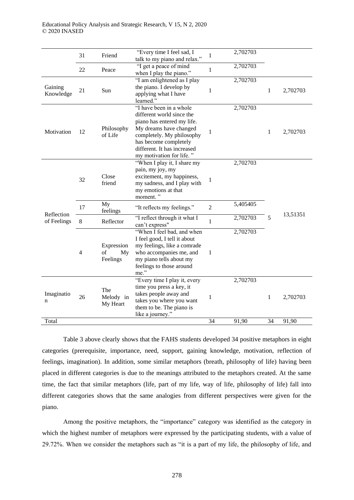|                      | 31             | Friend                             | "Every time I feel sad, I<br>talk to my piano and relax."                                                                                                                                                                     | 1              | 2,702703 |    |          |
|----------------------|----------------|------------------------------------|-------------------------------------------------------------------------------------------------------------------------------------------------------------------------------------------------------------------------------|----------------|----------|----|----------|
|                      | 22             | Peace                              | "I get a peace of mind<br>when I play the piano."                                                                                                                                                                             | 1              | 2,702703 |    |          |
| Gaining<br>Knowledge | 21             | Sun                                | "I am enlightened as I play<br>the piano. I develop by<br>applying what I have<br>learned."                                                                                                                                   | $\mathbf{1}$   | 2,702703 | 1  | 2,702703 |
| Motivation           | 12             | Philosophy<br>of Life              | "I have been in a whole<br>different world since the<br>piano has entered my life.<br>My dreams have changed<br>completely. My philosophy<br>has become completely<br>different. It has increased<br>my motivation for life." | 1              | 2,702703 | 1  | 2,702703 |
|                      | 32             | Close<br>friend                    | "When I play it, I share my<br>pain, my joy, my<br>excitement, my happiness,<br>my sadness, and I play with<br>my emotions at that<br>moment."                                                                                | $\mathbf{1}$   | 2,702703 |    |          |
| Reflection           | 17             | My<br>feelings                     | "It reflects my feelings."                                                                                                                                                                                                    | $\overline{2}$ | 5,405405 |    | 13,51351 |
| of Feelings          | 8              | Reflector                          | "I reflect through it what I<br>can't express"                                                                                                                                                                                | $\mathbf{1}$   | 2,702703 | 5  |          |
|                      | $\overline{4}$ | Expression<br>of<br>My<br>Feelings | "When I feel bad, and when<br>I feel good, I tell it about<br>my feelings, like a comrade<br>who accompanies me, and<br>my piano tells about my<br>feelings to those around<br>me."                                           | 1              | 2,702703 |    |          |
| Imaginatio<br>n      | 26             | The<br>Melody in<br>My Heart       | "Every time I play it, every<br>time you press a key, it<br>takes people away and<br>takes you where you want<br>them to be. The piano is<br>like a journey."                                                                 | 1              | 2,702703 | 1  | 2,702703 |
| Total                |                |                                    |                                                                                                                                                                                                                               | 34             | 91,90    | 34 | 91,90    |

Table 3 above clearly shows that the FAHS students developed 34 positive metaphors in eight categories (prerequisite, importance, need, support, gaining knowledge, motivation, reflection of feelings, imagination). In addition, some similar metaphors (breath, philosophy of life) having been placed in different categories is due to the meanings attributed to the metaphors created. At the same time, the fact that similar metaphors (life, part of my life, way of life, philosophy of life) fall into different categories shows that the same analogies from different perspectives were given for the piano.

Among the positive metaphors, the "importance" category was identified as the category in which the highest number of metaphors were expressed by the participating students, with a value of 29.72%. When we consider the metaphors such as "it is a part of my life, the philosophy of life, and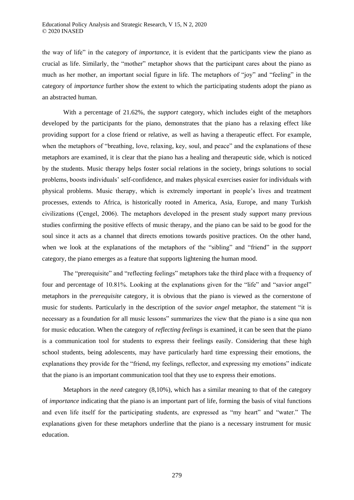the way of life" in the category of *importance*, it is evident that the participants view the piano as crucial as life. Similarly, the "mother" metaphor shows that the participant cares about the piano as much as her mother, an important social figure in life. The metaphors of "joy" and "feeling" in the category of *importance* further show the extent to which the participating students adopt the piano as an abstracted human.

With a percentage of 21.62%, the *support* category, which includes eight of the metaphors developed by the participants for the piano, demonstrates that the piano has a relaxing effect like providing support for a close friend or relative, as well as having a therapeutic effect. For example, when the metaphors of "breathing, love, relaxing, key, soul, and peace" and the explanations of these metaphors are examined, it is clear that the piano has a healing and therapeutic side, which is noticed by the students. Music therapy helps foster social relations in the society, brings solutions to social problems, boosts individuals' self-confidence, and makes physical exercises easier for individuals with physical problems. Music therapy, which is extremely important in people's lives and treatment processes, extends to Africa, is historically rooted in America, Asia, Europe, and many Turkish civilizations (Çengel, 2006). The metaphors developed in the present study support many previous studies confirming the positive effects of music therapy, and the piano can be said to be good for the soul since it acts as a channel that directs emotions towards positive practices. On the other hand, when we look at the explanations of the metaphors of the "sibling" and "friend" in the *support*  category, the piano emerges as a feature that supports lightening the human mood.

The "prerequisite" and "reflecting feelings" metaphors take the third place with a frequency of four and percentage of 10.81%. Looking at the explanations given for the "life" and "savior angel" metaphors in the *prerequisite* category, it is obvious that the piano is viewed as the cornerstone of music for students. Particularly in the description of the *savior angel* metaphor, the statement "it is necessary as a foundation for all music lessons" summarizes the view that the piano is a sine qua non for music education. When the category of *reflecting feelings* is examined, it can be seen that the piano is a communication tool for students to express their feelings easily. Considering that these high school students, being adolescents, may have particularly hard time expressing their emotions, the explanations they provide for the "friend, my feelings, reflector, and expressing my emotions" indicate that the piano is an important communication tool that they use to express their emotions.

Metaphors in the *need* category (8,10%), which has a similar meaning to that of the category of *importance* indicating that the piano is an important part of life, forming the basis of vital functions and even life itself for the participating students, are expressed as "my heart" and "water." The explanations given for these metaphors underline that the piano is a necessary instrument for music education.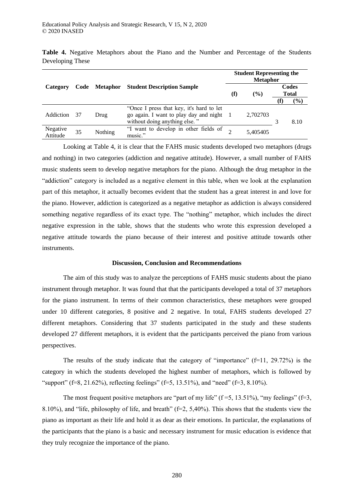|                      |    |               |                                                                                                                     |          | <b>Student Representing the</b><br><b>Metaphor</b> |                       |        |  |  |
|----------------------|----|---------------|---------------------------------------------------------------------------------------------------------------------|----------|----------------------------------------------------|-----------------------|--------|--|--|
| Category             |    | Code Metaphor | <b>Student Description Sample</b>                                                                                   | $\bf(f)$ | $($ %)                                             | Codes<br><b>Total</b> |        |  |  |
|                      |    |               |                                                                                                                     |          |                                                    |                       | $(\%)$ |  |  |
| Addiction            | 37 | Drug          | "Once I press that key, it's hard to let<br>go again. I want to play day and night<br>without doing anything else." |          | 2.702703                                           |                       | 8.10   |  |  |
| Negative<br>Attitude | 35 | Nothing       | "I want to develop in other fields of<br>music."                                                                    |          | 5,405405                                           |                       |        |  |  |

**Table 4.** Negative Metaphors about the Piano and the Number and Percentage of the Students Developing These

Looking at Table 4, it is clear that the FAHS music students developed two metaphors (drugs and nothing) in two categories (addiction and negative attitude). However, a small number of FAHS music students seem to develop negative metaphors for the piano. Although the drug metaphor in the "addiction" category is included as a negative element in this table, when we look at the explanation part of this metaphor, it actually becomes evident that the student has a great interest in and love for the piano. However, addiction is categorized as a negative metaphor as addiction is always considered something negative regardless of its exact type. The "nothing" metaphor, which includes the direct negative expression in the table, shows that the students who wrote this expression developed a negative attitude towards the piano because of their interest and positive attitude towards other instruments.

#### **Discussion, Conclusion and Recommendations**

The aim of this study was to analyze the perceptions of FAHS music students about the piano instrument through metaphor. It was found that that the participants developed a total of 37 metaphors for the piano instrument. In terms of their common characteristics, these metaphors were grouped under 10 different categories, 8 positive and 2 negative. In total, FAHS students developed 27 different metaphors. Considering that 37 students participated in the study and these students developed 27 different metaphors, it is evident that the participants perceived the piano from various perspectives.

The results of the study indicate that the category of "importance"  $(f=11, 29.72\%)$  is the category in which the students developed the highest number of metaphors, which is followed by "support" (f=8, 21.62%), reflecting feelings" (f=5, 13.51%), and "need" (f=3, 8.10%).

The most frequent positive metaphors are "part of my life"  $(f=5, 13.51\%)$ , "my feelings"  $(f=3, 13.51\%)$ 8.10%), and "life, philosophy of life, and breath" (f=2, 5,40%). This shows that the students view the piano as important as their life and hold it as dear as their emotions. In particular, the explanations of the participants that the piano is a basic and necessary instrument for music education is evidence that they truly recognize the importance of the piano.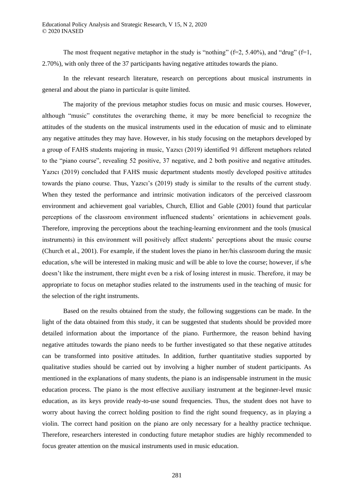The most frequent negative metaphor in the study is "nothing" ( $f=2$ , 5.40%), and "drug" ( $f=1$ , 2.70%), with only three of the 37 participants having negative attitudes towards the piano.

In the relevant research literature, research on perceptions about musical instruments in general and about the piano in particular is quite limited.

The majority of the previous metaphor studies focus on music and music courses. However, although "music" constitutes the overarching theme, it may be more beneficial to recognize the attitudes of the students on the musical instruments used in the education of music and to eliminate any negative attitudes they may have. However, in his study focusing on the metaphors developed by a group of FAHS students majoring in music, Yazıcı (2019) identified 91 different metaphors related to the "piano course", revealing 52 positive, 37 negative, and 2 both positive and negative attitudes. Yazıcı (2019) concluded that FAHS music department students mostly developed positive attitudes towards the piano course. Thus, Yazıcı's (2019) study is similar to the results of the current study. When they tested the performance and intrinsic motivation indicators of the perceived classroom environment and achievement goal variables, Church, Elliot and Gable (2001) found that particular perceptions of the classroom environment influenced students' orientations in achievement goals. Therefore, improving the perceptions about the teaching-learning environment and the tools (musical instruments) in this environment will positively affect students' perceptions about the music course (Church et al., 2001). For example, if the student loves the piano in her/his classroom during the music education, s/he will be interested in making music and will be able to love the course; however, if s/he doesn't like the instrument, there might even be a risk of losing interest in music. Therefore, it may be appropriate to focus on metaphor studies related to the instruments used in the teaching of music for the selection of the right instruments.

Based on the results obtained from the study, the following suggestions can be made. In the light of the data obtained from this study, it can be suggested that students should be provided more detailed information about the importance of the piano. Furthermore, the reason behind having negative attitudes towards the piano needs to be further investigated so that these negative attitudes can be transformed into positive attitudes. In addition, further quantitative studies supported by qualitative studies should be carried out by involving a higher number of student participants. As mentioned in the explanations of many students, the piano is an indispensable instrument in the music education process. The piano is the most effective auxiliary instrument at the beginner-level music education, as its keys provide ready-to-use sound frequencies. Thus, the student does not have to worry about having the correct holding position to find the right sound frequency, as in playing a violin. The correct hand position on the piano are only necessary for a healthy practice technique. Therefore, researchers interested in conducting future metaphor studies are highly recommended to focus greater attention on the musical instruments used in music education.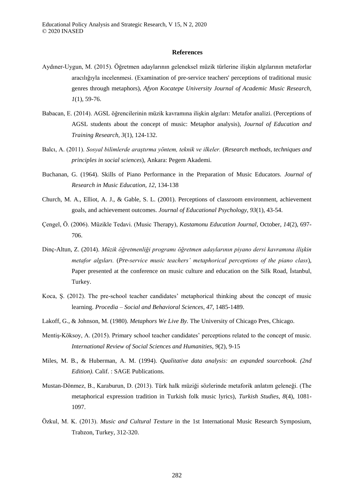#### **References**

- Aydıner-Uygun, M. (2015). Öğretmen adaylarının geleneksel müzik türlerine ilişkin algılarının metaforlar aracılığıyla incelenmesi. (Examination of pre-service teachers' perceptions of traditional music genres through metaphors), *Afyon Kocatepe University Journal of Academic Music Research, 1*(1), 59-76.
- Babacan, E. (2014). AGSL öğrencilerinin müzik kavramına ilişkin algıları: Metafor analizi. (Perceptions of AGSL students about the concept of music: Metaphor analysis), *Journal of Education and Training Research, 3*(1), 124-132.
- Balcı, A. (2011). *Sosyal bilimlerde araştırma yöntem, teknik ve ilkeler.* (*Research methods, techniques and principles in social sciences*), Ankara: Pegem Akademi.
- Buchanan, G. (1964). Skills of Piano Performance in the Preparation of Music Educators. *Journal of Research in Music Education, 12*, 134-138
- Church, M. A., Elliot, A. J., & Gable, S. L. (2001). Perceptions of classroom environment, achievement goals, and achievement outcomes. *Journal of Educational Psychology*, *93*(1), 43-54.
- Çengel, Ö. (2006). Müzikle Tedavi. (Music Therapy), *Kastamonu Education Journal,* October, *14*(2), 697- 706.
- Dinç-Altun, Z. (2014). *Müzik ğretmenliği programı ğretmen adaylarının piyano dersi kavramına ilişkin metafor algilari. (Pre-service music teachers' metaphorical perceptions of the piano class),* Paper presented at the conference on music culture and education on the Silk Road, İstanbul, Turkey.
- Koca, Ş. (2012). The pre-school teacher candidates' metaphorical thinking about the concept of music learning. *Procedia – Social and Behavioral Sciences, 47*, 1485-1489.
- Lakoff, G., & Johnson, M. (1980). *Metaphors We Live By*. The University of Chicago Pres, Chicago.
- Mentiş-Köksoy, A. (2015). Primary school teacher candidates' perceptions related to the concept of music. *International Review of Social Sciences and Humanities*, *9*(2), 9-15
- Miles, M. B., & Huberman, A. M. (1994). *Qualitative data analysis: an expanded sourcebook. (2nd Edition).* Calif. : SAGE Publications.
- Mustan-Dönmez, B., Karaburun, D. (2013). Türk halk müziği sözlerinde metaforik anlatım geleneği. (The metaphorical expression tradition in Turkish folk music lyrics), *Turkish Studies*, *8*(4), 1081- 1097.
- Özkul, M. K. (2013). *Music and Cultural Texture* in the 1st International Music Research Symposium, Trabzon, Turkey, 312-320.